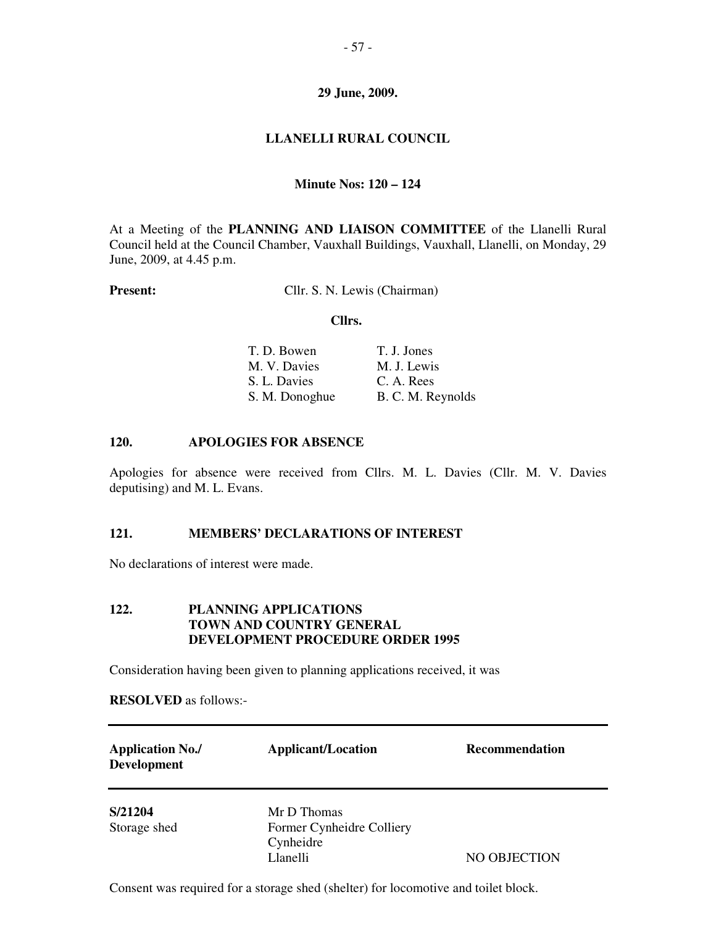# **LLANELLI RURAL COUNCIL**

# **Minute Nos: 120 – 124**

At a Meeting of the **PLANNING AND LIAISON COMMITTEE** of the Llanelli Rural Council held at the Council Chamber, Vauxhall Buildings, Vauxhall, Llanelli, on Monday, 29 June, 2009, at 4.45 p.m.

**Present:** Cllr. S. N. Lewis (Chairman)

#### **Cllrs.**

| T. J. Jones       |
|-------------------|
| M. J. Lewis       |
| C. A. Rees        |
| B. C. M. Reynolds |
|                   |

### **120. APOLOGIES FOR ABSENCE**

Apologies for absence were received from Cllrs. M. L. Davies (Cllr. M. V. Davies deputising) and M. L. Evans.

## **121. MEMBERS' DECLARATIONS OF INTEREST**

No declarations of interest were made.

# **122. PLANNING APPLICATIONS TOWN AND COUNTRY GENERAL DEVELOPMENT PROCEDURE ORDER 1995**

Consideration having been given to planning applications received, it was

**RESOLVED** as follows:-

| <b>Application No./</b><br><b>Development</b> | <b>Applicant/Location</b>                                         | <b>Recommendation</b> |
|-----------------------------------------------|-------------------------------------------------------------------|-----------------------|
| S/21204<br>Storage shed                       | Mr D Thomas<br>Former Cynheidre Colliery<br>Cynheidre<br>Llanelli | NO OBJECTION          |

Consent was required for a storage shed (shelter) for locomotive and toilet block.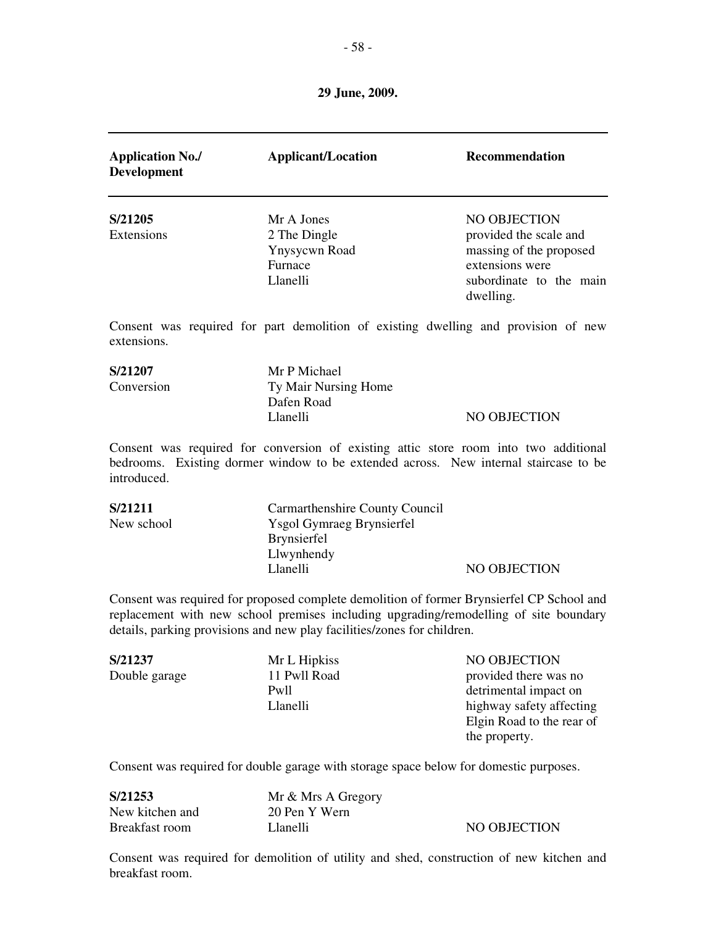| <b>Application No./</b><br><b>Development</b> | <b>Applicant/Location</b>                                                                                                                                                                                                                                     | Recommendation                                                                                                                      |
|-----------------------------------------------|---------------------------------------------------------------------------------------------------------------------------------------------------------------------------------------------------------------------------------------------------------------|-------------------------------------------------------------------------------------------------------------------------------------|
| S/21205<br>Extensions                         | Mr A Jones<br>2 The Dingle<br>Ynysycwn Road<br>Furnace<br>Llanelli                                                                                                                                                                                            | <b>NO OBJECTION</b><br>provided the scale and<br>massing of the proposed<br>extensions were<br>subordinate to the main<br>dwelling. |
| extensions.                                   | Consent was required for part demolition of existing dwelling and provision of new                                                                                                                                                                            |                                                                                                                                     |
| S/21207<br>Conversion                         | Mr P Michael<br>Ty Mair Nursing Home<br>Dafen Road<br>Llanelli                                                                                                                                                                                                | NO OBJECTION                                                                                                                        |
| introduced.                                   | Consent was required for conversion of existing attic store room into two additional<br>bedrooms. Existing dormer window to be extended across. New internal staircase to be                                                                                  |                                                                                                                                     |
| S/21211<br>New school                         | Carmarthenshire County Council<br><b>Ysgol Gymraeg Brynsierfel</b><br>Brynsierfel<br>Llwynhendy<br>Llanelli                                                                                                                                                   | <b>NO OBJECTION</b>                                                                                                                 |
|                                               | Consent was required for proposed complete demolition of former Brynsierfel CP School and<br>replacement with new school premises including upgrading/remodelling of site boundary<br>details, parking provisions and new play facilities/zones for children. |                                                                                                                                     |
| S/21237<br>Double garage                      | Mr L Hipkiss<br>11 Pwll Road<br>Pwll<br>Llanelli                                                                                                                                                                                                              | NO OBJECTION<br>provided there was no<br>detrimental impact on<br>highway safety affecting                                          |

Consent was required for double garage with storage space below for domestic purposes.

Elgin Road to the rear of

the property.

| S/21253         | Mr & Mrs A Gregory |              |
|-----------------|--------------------|--------------|
| New kitchen and | 20 Pen Y Wern      |              |
| Breakfast room  | Llanelli           | NO OBJECTION |

Consent was required for demolition of utility and shed, construction of new kitchen and breakfast room.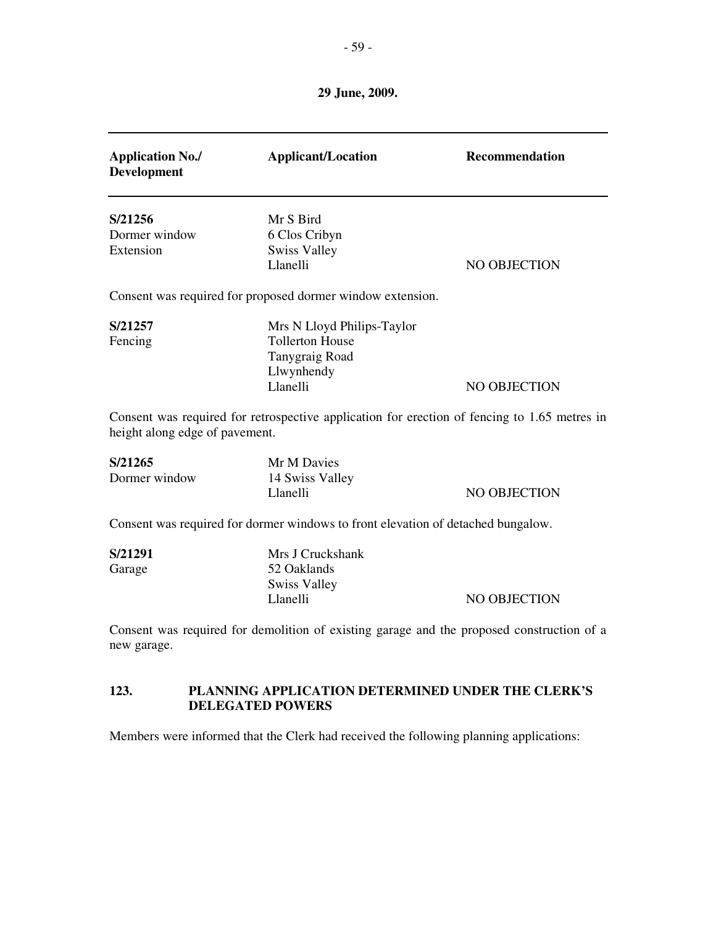| <b>Application No./</b><br><b>Development</b>                                                            | <b>Applicant/Location</b>                                                                        | Recommendation |
|----------------------------------------------------------------------------------------------------------|--------------------------------------------------------------------------------------------------|----------------|
| S/21256<br>Dormer window                                                                                 | Mr S Bird<br>6 Clos Cribyn                                                                       |                |
| Extension                                                                                                | <b>Swiss Valley</b><br>Llanelli                                                                  | NO OBJECTION   |
|                                                                                                          | Consent was required for proposed dormer window extension.                                       |                |
| S/21257<br>Fencing                                                                                       | Mrs N Lloyd Philips-Taylor<br><b>Tollerton House</b><br>Tanygraig Road<br>Llwynhendy<br>Llanelli | NO OBJECTION   |
| height along edge of pavement.                                                                           | Consent was required for retrospective application for erection of fencing to 1.65 metres in     |                |
| S/21265<br>Dormer window                                                                                 | Mr M Davies<br>14 Swiss Valley<br>Llanelli                                                       | NO OBJECTION   |
| Consent was required for dormer windows to front elevation of detached bungalow.                         |                                                                                                  |                |
| S/21291<br>Garage                                                                                        | Mrs J Cruckshank<br>52 Oaklands<br><b>Swiss Valley</b><br>Llanelli                               | NO OBJECTION   |
| Consent was required for demolition of existing garage and the proposed construction of a<br>new garage. |                                                                                                  |                |

# **123. PLANNING APPLICATION DETERMINED UNDER THE CLERK'S DELEGATED POWERS**

Members were informed that the Clerk had received the following planning applications: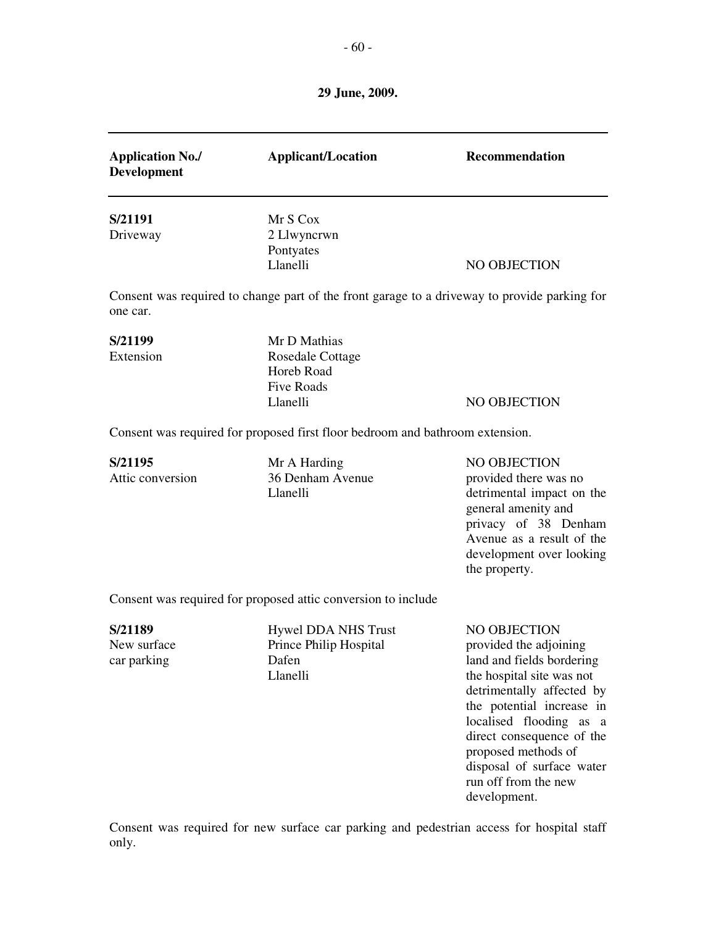| <b>Application No./</b><br><b>Development</b> | <b>Applicant/Location</b>                                                                    | Recommendation                                                                                                                                                                                                                                                                                 |
|-----------------------------------------------|----------------------------------------------------------------------------------------------|------------------------------------------------------------------------------------------------------------------------------------------------------------------------------------------------------------------------------------------------------------------------------------------------|
| S/21191<br>Driveway                           | Mr S Cox<br>2 Llwyncrwn<br>Pontyates<br>Llanelli                                             | NO OBJECTION                                                                                                                                                                                                                                                                                   |
| one car.                                      | Consent was required to change part of the front garage to a driveway to provide parking for |                                                                                                                                                                                                                                                                                                |
| S/21199<br>Extension                          | Mr D Mathias<br><b>Rosedale Cottage</b><br>Horeb Road<br><b>Five Roads</b><br>Llanelli       | NO OBJECTION                                                                                                                                                                                                                                                                                   |
|                                               | Consent was required for proposed first floor bedroom and bathroom extension.                |                                                                                                                                                                                                                                                                                                |
| S/21195<br>Attic conversion                   | Mr A Harding<br>36 Denham Avenue<br>Llanelli                                                 | NO OBJECTION<br>provided there was no<br>detrimental impact on the<br>general amenity and<br>privacy of 38 Denham<br>Avenue as a result of the<br>development over looking<br>the property.                                                                                                    |
|                                               | Consent was required for proposed attic conversion to include                                |                                                                                                                                                                                                                                                                                                |
| S/21189<br>New surface<br>car parking         | <b>Hywel DDA NHS Trust</b><br>Prince Philip Hospital<br>Dafen<br>Llanelli                    | NO OBJECTION<br>provided the adjoining<br>land and fields bordering<br>the hospital site was not<br>detrimentally affected by<br>the potential increase in<br>localised flooding as a<br>direct consequence of the<br>proposed methods of<br>disposal of surface water<br>run off from the new |

Consent was required for new surface car parking and pedestrian access for hospital staff only.

development.